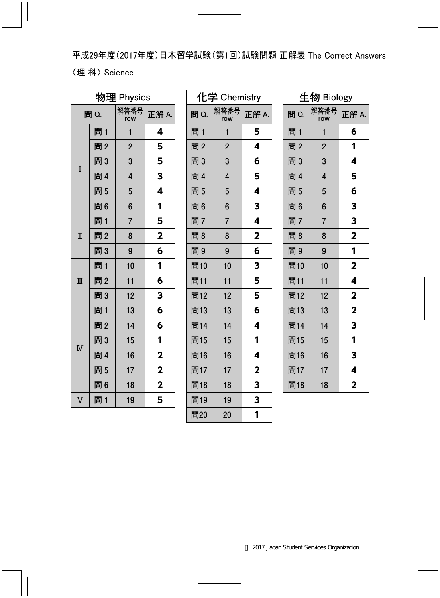平成29年度(2017年度)日本留学試験(第1回)試験問題 正解表 The Correct Answers 〈理科〉 Science

| 物理 Physics              |     |                |                         |
|-------------------------|-----|----------------|-------------------------|
| 問 Q.                    |     | 解答番号<br>row    | 正解 A.                   |
|                         | 問 1 | $\mathbf{1}$   | 4                       |
|                         | 問2  | $\overline{2}$ | 5                       |
| I                       | 問3  | 3              | 5                       |
|                         | 問 4 | $\overline{4}$ | 3                       |
|                         | 問5  | 5              | 4                       |
|                         | 問6  | $6\phantom{a}$ | 1                       |
|                         | 問 1 | $\overline{7}$ | 5                       |
| $\overline{\mathbb{I}}$ | 問2  | 8              | $\overline{\mathbf{2}}$ |
|                         | 問3  | 9              | 6                       |
|                         | 問1  | 10             | 1                       |
| $\blacksquare$          | 問2  | 11             | 6                       |
|                         | 問3  | 12             | 3                       |
| $\overline{\text{N}}$   | 問1  | 13             | 6                       |
|                         | 問2  | 14             | 6                       |
|                         | 問3  | 15             | 1                       |
|                         | 問 4 | 16             | $\overline{\mathbf{2}}$ |
|                         | 問5  | 17             | $\overline{\mathbf{2}}$ |
|                         | 問6  | 18             | $\overline{\mathbf{2}}$ |
| $\overline{\mathsf{V}}$ | 問1  | 19             | 5                       |

|      | 化学 Chemistry   |                         |  |
|------|----------------|-------------------------|--|
| 問 Q. | 解答番号<br>row    | 正解 A.                   |  |
| 問 1  | $\mathbf{1}$   | 5                       |  |
| 問2   | $\overline{2}$ | 4                       |  |
| 問3   | 3              | 6                       |  |
| 問 4  | $\overline{4}$ | 5                       |  |
| 問5   | 5              | 4                       |  |
| 問6   | 6              | 3                       |  |
| 問7   | $\overline{7}$ | 4                       |  |
| 問8   | 8              | $\mathbf{2}$            |  |
| 問9   | 9              | 6                       |  |
| 問10  | 10             | 3                       |  |
| 問11  | 11             | 5                       |  |
| 問12  | 12             | 5                       |  |
| 問13  | 13             | 6                       |  |
| 問14  | 14             | 4                       |  |
| 問15  | 15             | 1                       |  |
| 問16  | 16             | 4                       |  |
| 問17  | 17             | $\overline{\mathbf{2}}$ |  |
| 問18  | 18             | 3                       |  |
| 問19  | 19             | 3                       |  |
| 問20  | 20             | 1                       |  |

| 生物 Biology |                |                         |  |
|------------|----------------|-------------------------|--|
| 問 Q.       | 解答番号<br>row    | 正解 A.                   |  |
| 問 1        | 1              | 6                       |  |
| 問2         | $\overline{2}$ | 1                       |  |
| 問3         | 3              | 4                       |  |
| 問 4        | $\overline{4}$ | 5                       |  |
| 問5         | 5              | 6                       |  |
| 問6         | 6              | 3                       |  |
| 問7         | $\overline{7}$ | 3                       |  |
| 問8         | 8              | $\overline{\mathbf{2}}$ |  |
| 問9         | 9              | 1                       |  |
| 問10        | 10             | $\overline{\mathbf{2}}$ |  |
| 問11        | 11             | 4                       |  |
| 問12        | 12             | $\overline{\mathbf{2}}$ |  |
| 問13        | 13             | $\overline{\mathbf{2}}$ |  |
| 問14        | 14             | 3                       |  |
| 問15        | 15             | 1                       |  |
| 問16        | 16             | 3                       |  |
| 問17        | 17             | 4                       |  |
| 問18        | 18             | $\mathbf 2$             |  |